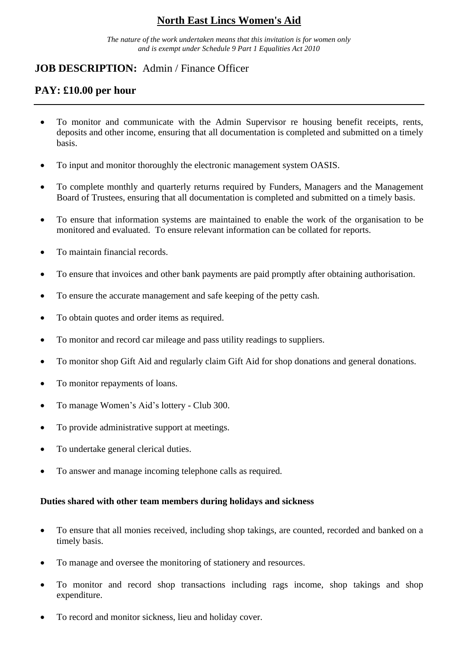## **North East Lincs Women's Aid**

*The nature of the work undertaken means that this invitation is for women only and is exempt under Schedule 9 Part 1 Equalities Act 2010*

## **JOB DESCRIPTION:** Admin / Finance Officer

## **PAY: £10.00 per hour**

- To monitor and communicate with the Admin Supervisor re housing benefit receipts, rents, deposits and other income, ensuring that all documentation is completed and submitted on a timely basis.
- To input and monitor thoroughly the electronic management system OASIS.
- To complete monthly and quarterly returns required by Funders, Managers and the Management Board of Trustees, ensuring that all documentation is completed and submitted on a timely basis.
- To ensure that information systems are maintained to enable the work of the organisation to be monitored and evaluated. To ensure relevant information can be collated for reports.
- To maintain financial records.
- To ensure that invoices and other bank payments are paid promptly after obtaining authorisation.
- To ensure the accurate management and safe keeping of the petty cash.
- To obtain quotes and order items as required.
- To monitor and record car mileage and pass utility readings to suppliers.
- To monitor shop Gift Aid and regularly claim Gift Aid for shop donations and general donations.
- To monitor repayments of loans.
- To manage Women's Aid's lottery Club 300.
- To provide administrative support at meetings.
- To undertake general clerical duties.
- To answer and manage incoming telephone calls as required.

#### **Duties shared with other team members during holidays and sickness**

- To ensure that all monies received, including shop takings, are counted, recorded and banked on a timely basis.
- To manage and oversee the monitoring of stationery and resources.
- To monitor and record shop transactions including rags income, shop takings and shop expenditure.
- To record and monitor sickness, lieu and holiday cover.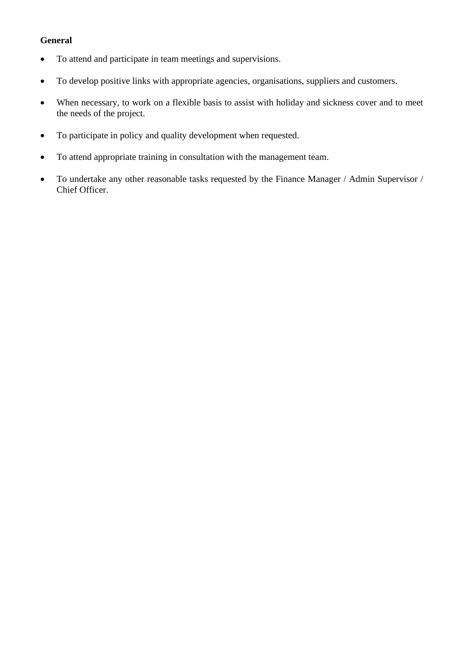### **General**

- To attend and participate in team meetings and supervisions.
- To develop positive links with appropriate agencies, organisations, suppliers and customers.
- When necessary, to work on a flexible basis to assist with holiday and sickness cover and to meet the needs of the project.
- To participate in policy and quality development when requested.
- To attend appropriate training in consultation with the management team.
- To undertake any other reasonable tasks requested by the Finance Manager / Admin Supervisor / Chief Officer.